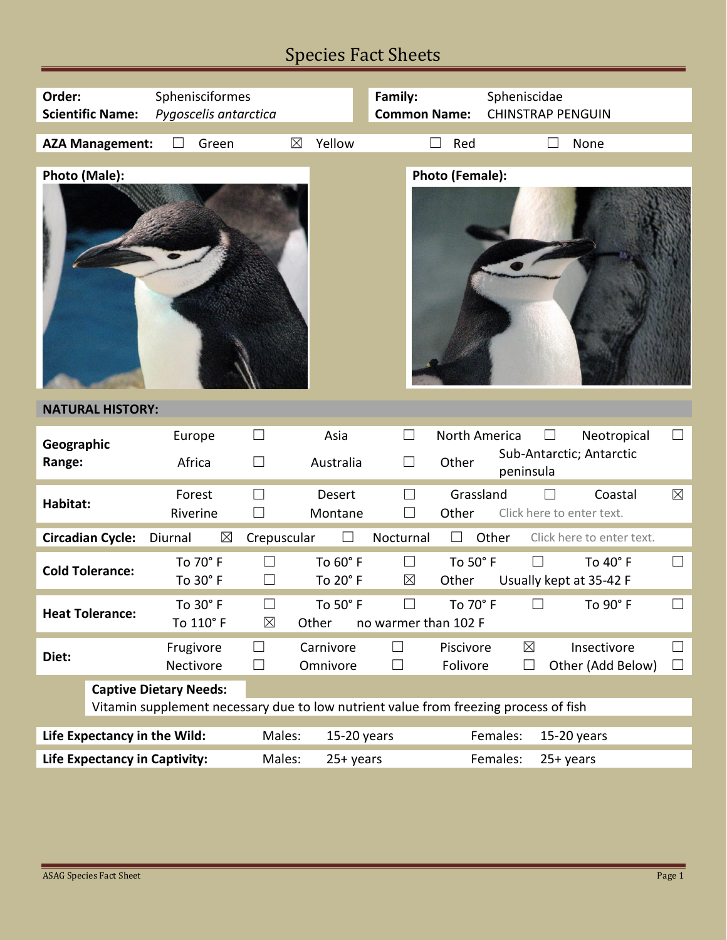# Species Fact Sheets

| Order:<br><b>Scientific Name:</b>                                                                                     | Sphenisciformes<br>Pygoscelis antarctica       |                                            | Family:<br><b>Common Name:</b> | Spheniscidae                                   | <b>CHINSTRAP PENGUIN</b>                      |                  |
|-----------------------------------------------------------------------------------------------------------------------|------------------------------------------------|--------------------------------------------|--------------------------------|------------------------------------------------|-----------------------------------------------|------------------|
| <b>AZA Management:</b>                                                                                                | Green                                          | Yellow<br>$\boxtimes$                      |                                | Red                                            | None                                          |                  |
| Photo (Male):                                                                                                         |                                                |                                            |                                | Photo (Female):                                |                                               |                  |
| <b>NATURAL HISTORY:</b>                                                                                               |                                                |                                            |                                |                                                |                                               |                  |
| Geographic<br>Range:                                                                                                  | Europe<br>Africa                               | Asia<br>$\Box$<br>Australia<br>П           | $\Box$<br>П                    | North America<br>Other<br>peninsula            | Neotropical<br>Sub-Antarctic; Antarctic       | $\Box$           |
| Habitat:                                                                                                              | Forest<br>Riverine                             | <b>Desert</b><br>Montane<br>$\Box$         |                                | Grassland<br>Other                             | Coastal<br>Click here to enter text.          | $\boxtimes$      |
| <b>Circadian Cycle:</b>                                                                                               | $\boxtimes$<br>Diurnal                         | Crepuscular                                | Nocturnal                      | Other                                          | Click here to enter text.                     |                  |
| <b>Cold Tolerance:</b>                                                                                                | To 70° F<br>To 30° F                           | To 60° F<br>$\Box$<br>To 20° F<br>⊔        | $\Box$<br>$\boxtimes$          | To 50° F<br>Other                              | $\Box$<br>To 40° F<br>Usually kept at 35-42 F | $\Box$           |
| <b>Heat Tolerance:</b>                                                                                                | To 30° F<br>To 110° F                          | $\Box$<br>To 50° F<br>$\boxtimes$<br>Other | $\Box$<br>no warmer than 102 F | To 70° F                                       | To 90° F<br>$\Box$                            | $\Box$           |
| Diet:                                                                                                                 | Frugivore<br>Nectivore                         | Carnivore<br>⊔<br>П<br>Omnivore            | $\Box$<br>$\Box$               | Piscivore<br>$\boxtimes$<br>Folivore<br>$\Box$ | Insectivore<br>Other (Add Below)              | $\Box$<br>$\Box$ |
| <b>Captive Dietary Needs:</b><br>Vitamin supplement necessary due to low nutrient value from freezing process of fish |                                                |                                            |                                |                                                |                                               |                  |
| Life Expectancy in the Wild:<br>Males:                                                                                |                                                |                                            | 15-20 years                    | Females:<br>$15-20$ years                      |                                               |                  |
|                                                                                                                       | <b>Life Expectancy in Captivity:</b><br>Males: |                                            | $25+ years$                    | Females:<br>$25+ years$                        |                                               |                  |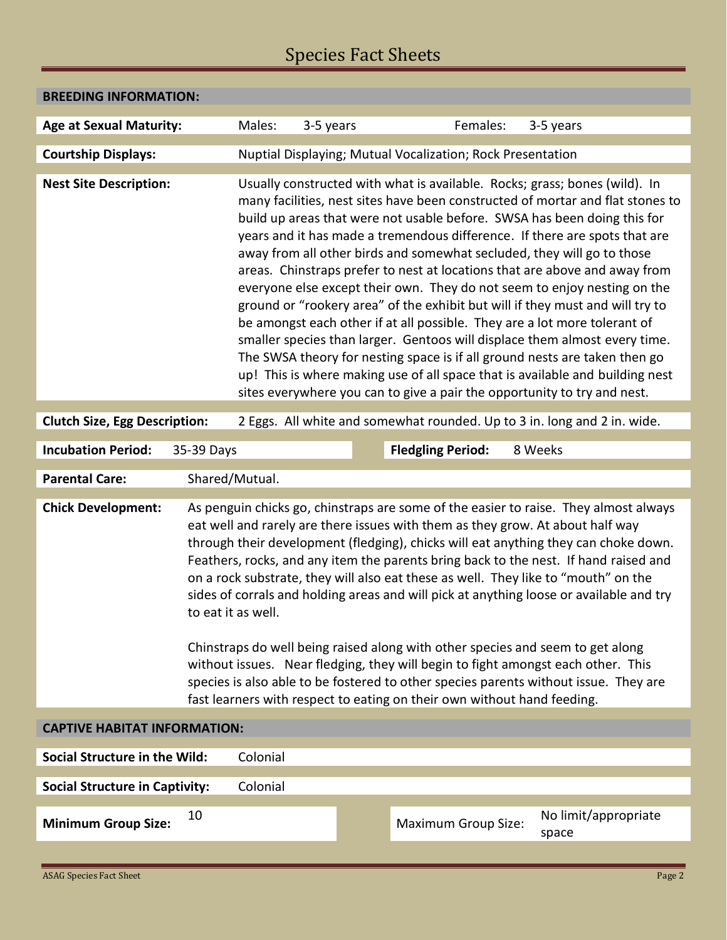# Species Fact Sheets

| <b>BREEDING INFORMATION:</b>                                                   |                                                                                                                                                                                                                                                                                                                                                                                                                                                                                                                                                                                                                                                                                                                                                                                                                                                                                                       |                                                                                                                                                                                                                                                                                                                                                                                                                                                                                                                                                                                                                                                                                                                                                                                                                                                                                                                                                                                                                                                   |           |  |                            |                               |  |
|--------------------------------------------------------------------------------|-------------------------------------------------------------------------------------------------------------------------------------------------------------------------------------------------------------------------------------------------------------------------------------------------------------------------------------------------------------------------------------------------------------------------------------------------------------------------------------------------------------------------------------------------------------------------------------------------------------------------------------------------------------------------------------------------------------------------------------------------------------------------------------------------------------------------------------------------------------------------------------------------------|---------------------------------------------------------------------------------------------------------------------------------------------------------------------------------------------------------------------------------------------------------------------------------------------------------------------------------------------------------------------------------------------------------------------------------------------------------------------------------------------------------------------------------------------------------------------------------------------------------------------------------------------------------------------------------------------------------------------------------------------------------------------------------------------------------------------------------------------------------------------------------------------------------------------------------------------------------------------------------------------------------------------------------------------------|-----------|--|----------------------------|-------------------------------|--|
| <b>Age at Sexual Maturity:</b>                                                 |                                                                                                                                                                                                                                                                                                                                                                                                                                                                                                                                                                                                                                                                                                                                                                                                                                                                                                       | Males:                                                                                                                                                                                                                                                                                                                                                                                                                                                                                                                                                                                                                                                                                                                                                                                                                                                                                                                                                                                                                                            | 3-5 years |  | Females:                   | 3-5 years                     |  |
| <b>Courtship Displays:</b>                                                     |                                                                                                                                                                                                                                                                                                                                                                                                                                                                                                                                                                                                                                                                                                                                                                                                                                                                                                       | Nuptial Displaying; Mutual Vocalization; Rock Presentation                                                                                                                                                                                                                                                                                                                                                                                                                                                                                                                                                                                                                                                                                                                                                                                                                                                                                                                                                                                        |           |  |                            |                               |  |
| <b>Nest Site Description:</b>                                                  |                                                                                                                                                                                                                                                                                                                                                                                                                                                                                                                                                                                                                                                                                                                                                                                                                                                                                                       | Usually constructed with what is available. Rocks; grass; bones (wild). In<br>many facilities, nest sites have been constructed of mortar and flat stones to<br>build up areas that were not usable before. SWSA has been doing this for<br>years and it has made a tremendous difference. If there are spots that are<br>away from all other birds and somewhat secluded, they will go to those<br>areas. Chinstraps prefer to nest at locations that are above and away from<br>everyone else except their own. They do not seem to enjoy nesting on the<br>ground or "rookery area" of the exhibit but will if they must and will try to<br>be amongst each other if at all possible. They are a lot more tolerant of<br>smaller species than larger. Gentoos will displace them almost every time.<br>The SWSA theory for nesting space is if all ground nests are taken then go<br>up! This is where making use of all space that is available and building nest<br>sites everywhere you can to give a pair the opportunity to try and nest. |           |  |                            |                               |  |
| <b>Clutch Size, Egg Description:</b>                                           |                                                                                                                                                                                                                                                                                                                                                                                                                                                                                                                                                                                                                                                                                                                                                                                                                                                                                                       | 2 Eggs. All white and somewhat rounded. Up to 3 in. long and 2 in. wide.                                                                                                                                                                                                                                                                                                                                                                                                                                                                                                                                                                                                                                                                                                                                                                                                                                                                                                                                                                          |           |  |                            |                               |  |
| <b>Incubation Period:</b><br><b>Fledgling Period:</b><br>8 Weeks<br>35-39 Days |                                                                                                                                                                                                                                                                                                                                                                                                                                                                                                                                                                                                                                                                                                                                                                                                                                                                                                       |                                                                                                                                                                                                                                                                                                                                                                                                                                                                                                                                                                                                                                                                                                                                                                                                                                                                                                                                                                                                                                                   |           |  |                            |                               |  |
| <b>Parental Care:</b>                                                          |                                                                                                                                                                                                                                                                                                                                                                                                                                                                                                                                                                                                                                                                                                                                                                                                                                                                                                       | Shared/Mutual.                                                                                                                                                                                                                                                                                                                                                                                                                                                                                                                                                                                                                                                                                                                                                                                                                                                                                                                                                                                                                                    |           |  |                            |                               |  |
| <b>Chick Development:</b>                                                      | As penguin chicks go, chinstraps are some of the easier to raise. They almost always<br>eat well and rarely are there issues with them as they grow. At about half way<br>through their development (fledging), chicks will eat anything they can choke down.<br>Feathers, rocks, and any item the parents bring back to the nest. If hand raised and<br>on a rock substrate, they will also eat these as well. They like to "mouth" on the<br>sides of corrals and holding areas and will pick at anything loose or available and try<br>to eat it as well.<br>Chinstraps do well being raised along with other species and seem to get along<br>without issues. Near fledging, they will begin to fight amongst each other. This<br>species is also able to be fostered to other species parents without issue. They are<br>fast learners with respect to eating on their own without hand feeding. |                                                                                                                                                                                                                                                                                                                                                                                                                                                                                                                                                                                                                                                                                                                                                                                                                                                                                                                                                                                                                                                   |           |  |                            |                               |  |
| <b>CAPTIVE HABITAT INFORMATION:</b>                                            |                                                                                                                                                                                                                                                                                                                                                                                                                                                                                                                                                                                                                                                                                                                                                                                                                                                                                                       |                                                                                                                                                                                                                                                                                                                                                                                                                                                                                                                                                                                                                                                                                                                                                                                                                                                                                                                                                                                                                                                   |           |  |                            |                               |  |
| Social Structure in the Wild:<br>Colonial                                      |                                                                                                                                                                                                                                                                                                                                                                                                                                                                                                                                                                                                                                                                                                                                                                                                                                                                                                       |                                                                                                                                                                                                                                                                                                                                                                                                                                                                                                                                                                                                                                                                                                                                                                                                                                                                                                                                                                                                                                                   |           |  |                            |                               |  |
| <b>Social Structure in Captivity:</b><br>Colonial                              |                                                                                                                                                                                                                                                                                                                                                                                                                                                                                                                                                                                                                                                                                                                                                                                                                                                                                                       |                                                                                                                                                                                                                                                                                                                                                                                                                                                                                                                                                                                                                                                                                                                                                                                                                                                                                                                                                                                                                                                   |           |  |                            |                               |  |
| <b>Minimum Group Size:</b>                                                     | 10                                                                                                                                                                                                                                                                                                                                                                                                                                                                                                                                                                                                                                                                                                                                                                                                                                                                                                    |                                                                                                                                                                                                                                                                                                                                                                                                                                                                                                                                                                                                                                                                                                                                                                                                                                                                                                                                                                                                                                                   |           |  | <b>Maximum Group Size:</b> | No limit/appropriate<br>space |  |